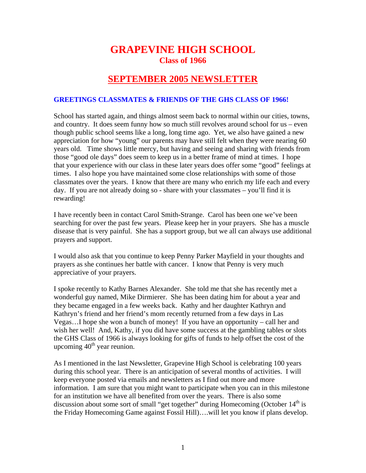## **GRAPEVINE HIGH SCHOOL Class of 1966**

## **SEPTEMBER 2005 NEWSLETTER**

## **GREETINGS CLASSMATES & FRIENDS OF THE GHS CLASS OF 1966!**

School has started again, and things almost seem back to normal within our cities, towns, and country. It does seem funny how so much still revolves around school for us – even though public school seems like a long, long time ago. Yet, we also have gained a new appreciation for how "young" our parents may have still felt when they were nearing 60 years old. Time shows little mercy, but having and seeing and sharing with friends from those "good ole days" does seem to keep us in a better frame of mind at times. I hope that your experience with our class in these later years does offer some "good" feelings at times. I also hope you have maintained some close relationships with some of those classmates over the years. I know that there are many who enrich my life each and every day. If you are not already doing so - share with your classmates – you'll find it is rewarding!

I have recently been in contact Carol Smith-Strange. Carol has been one we've been searching for over the past few years. Please keep her in your prayers. She has a muscle disease that is very painful. She has a support group, but we all can always use additional prayers and support.

I would also ask that you continue to keep Penny Parker Mayfield in your thoughts and prayers as she continues her battle with cancer. I know that Penny is very much appreciative of your prayers.

I spoke recently to Kathy Barnes Alexander. She told me that she has recently met a wonderful guy named, Mike Dirmierer. She has been dating him for about a year and they became engaged in a few weeks back. Kathy and her daughter Kathryn and Kathryn's friend and her friend's mom recently returned from a few days in Las Vegas…I hope she won a bunch of money! If you have an opportunity – call her and wish her well! And, Kathy, if you did have some success at the gambling tables or slots the GHS Class of 1966 is always looking for gifts of funds to help offset the cost of the upcoming  $40<sup>th</sup>$  year reunion.

As I mentioned in the last Newsletter, Grapevine High School is celebrating 100 years during this school year. There is an anticipation of several months of activities. I will keep everyone posted via emails and newsletters as I find out more and more information. I am sure that you might want to participate when you can in this milestone for an institution we have all benefited from over the years. There is also some discussion about some sort of small "get together" during Homecoming (October  $14<sup>th</sup>$  is the Friday Homecoming Game against Fossil Hill)….will let you know if plans develop.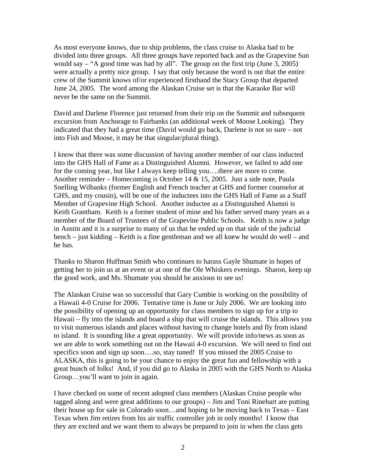As most everyone knows, due to ship problems, the class cruise to Alaska had to be divided into three groups. All three groups have reported back and as the Grapevine Sun would say – "A good time was had by all". The group on the first trip (June 3, 2005) were actually a pretty nice group. I say that only because the word is out that the entire crew of the Summit knows of/or experienced firsthand the Stacy Group that departed June 24, 2005. The word among the Alaskan Cruise set is that the Karaoke Bar will never be the same on the Summit.

David and Darlene Florence just returned from their trip on the Summit and subsequent excursion from Anchorage to Fairbanks (an additional week of Moose Looking). They indicated that they had a great time (David would go back, Darlene is not so sure – not into Fish and Moose, it may be that singular/plural thing).

I know that there was some discussion of having another member of our class inducted into the GHS Hall of Fame as a Distinguished Alumni. However, we failed to add one for the coming year, but like I always keep telling you….there are more to come. Another reminder – Homecoming is October 14 & 15, 2005. Just a side note, Paula Snelling Wilbanks (former English and French teacher at GHS and former counselor at GHS, and my cousin), will be one of the inductees into the GHS Hall of Fame as a Staff Member of Grapevine High School. Another inductee as a Distinguished Alumni is Keith Grantham. Keith is a former student of mine and his father served many years as a member of the Board of Trustees of the Grapevine Public Schools. Keith is now a judge in Austin and it is a surprise to many of us that he ended up on that side of the judicial bench – just kidding – Keith is a fine gentleman and we all knew he would do well – and he has.

Thanks to Sharon Huffman Smith who continues to harass Gayle Shumate in hopes of getting her to join us at an event or at one of the Ole Whiskers evenings. Sharon, keep up the good work, and Ms. Shumate you should be anxious to see us!

The Alaskan Cruise was so successful that Gary Cumbie is working on the possibility of a Hawaii 4-0 Cruise for 2006. Tentative time is June or July 2006. We are looking into the possibility of opening up an opportunity for class members to sign up for a trip to Hawaii – fly into the islands and board a ship that will cruise the islands. This allows you to visit numerous islands and places without having to change hotels and fly from island to island. It is sounding like a great opportunity. We will provide info/news as soon as we are able to work something out on the Hawaii 4-0 excursion. We will need to find out specifics soon and sign up soon....so, stay tuned! If you missed the 2005 Cruise to ALASKA, this is going to be your chance to enjoy the great fun and fellowship with a great bunch of folks! And, if you did go to Alaska in 2005 with the GHS North to Alaska Group…you'll want to join in again.

I have checked on some of recent adopted class members (Alaskan Cruise people who tagged along and were great additions to our groups) – Jim and Toni Rinehart are putting their house up for sale in Colorado soon…and hoping to be moving back to Texas – East Texas when Jim retires from his air traffic controller job in only months! I know that they are excited and we want them to always be prepared to join in when the class gets